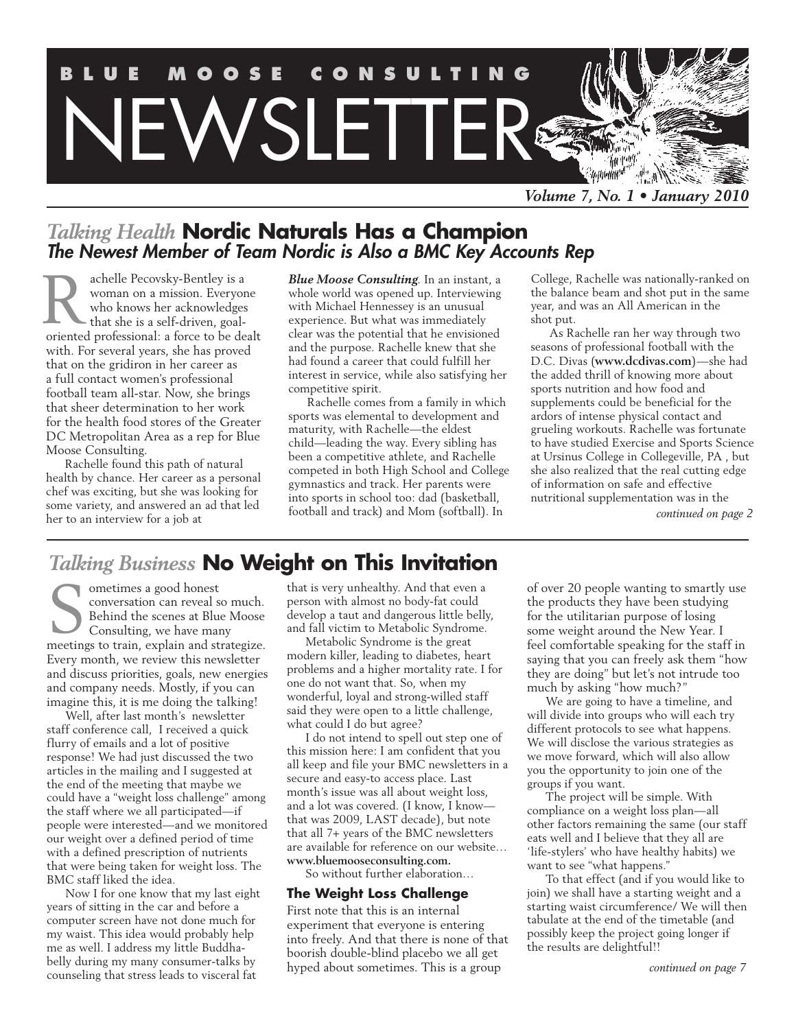

# *Talking Health* **Nordic Naturals Has a Champion** *The Newest Member of Team Nordic is Also a BMC Key Accounts Rep*

achelle Pecovsky-Bentley is a woman on a mission. Everyone who knows her acknowledges that she is a self-driven, goaloriented professional: a force to be dealt with. For several years, she has proved that on the gridiron in her career as a full contact women's professional football team all-star. Now, she brings that sheer determination to her work for the health food stores of the Greater DC Metropolitan Area as a rep for Blue Moose Consulting. R

Rachelle found this path of natural health by chance. Her career as a personal chef was exciting, but she was looking for some variety, and answered an ad that led her to an interview for a job at

*Blue Moose Consulting*. In an instant, a whole world was opened up. Interviewing with Michael Hennessey is an unusual experience. But what was immediately clear was the potential that he envisioned and the purpose. Rachelle knew that she had found a career that could fulfill her interest in service, while also satisfying her competitive spirit.

Rachelle comes from a family in which sports was elemental to development and maturity, with Rachelle—the eldest child—leading the way. Every sibling has been a competitive athlete, and Rachelle competed in both High School and College gymnastics and track. Her parents were into sports in school too: dad (basketball, football and track) and Mom (softball). In

College, Rachelle was nationally-ranked on the balance beam and shot put in the same year, and was an All American in the shot put.

As Rachelle ran her way through two seasons of professional football with the D.C. Divas (**www.dcdivas.com**)—she had the added thrill of knowing more about sports nutrition and how food and supplements could be beneficial for the ardors of intense physical contact and grueling workouts. Rachelle was fortunate to have studied Exercise and Sports Science at Ursinus College in Collegeville, PA , but she also realized that the real cutting edge of information on safe and effective nutritional supplementation was in the

*continued on page 2*

# *Talking Business* **No Weight on This Invitation**

ometimes a good honest conversation can reveal so much. Behind the scenes at Blue Moose Consulting, we have many ometimes a good honest<br>conversation can reveal so much.<br>Behind the scenes at Blue Moose<br>Consulting, we have many<br>meetings to train, explain and strategize. Every month, we review this newsletter and discuss priorities, goals, new energies and company needs. Mostly, if you can imagine this, it is me doing the talking!

Well, after last month's newsletter staff conference call, I received a quick flurry of emails and a lot of positive response! We had just discussed the two articles in the mailing and I suggested at the end of the meeting that maybe we could have a "weight loss challenge" among the staff where we all participated—if people were interested—and we monitored our weight over a defined period of time with a defined prescription of nutrients that were being taken for weight loss. The BMC staff liked the idea.

Now I for one know that my last eight years of sitting in the car and before a computer screen have not done much for my waist. This idea would probably help me as well. I address my little Buddhabelly during my many consumer-talks by counseling that stress leads to visceral fat

that is very unhealthy. And that even a person with almost no body-fat could develop a taut and dangerous little belly, and fall victim to Metabolic Syndrome.

Metabolic Syndrome is the great modern killer, leading to diabetes, heart problems and a higher mortality rate. I for one do not want that. So, when my wonderful, loyal and strong-willed staff said they were open to a little challenge, what could I do but agree?

I do not intend to spell out step one of this mission here: I am confident that you all keep and file your BMC newsletters in a secure and easy-to access place. Last month's issue was all about weight loss, and a lot was covered. (I know, I know that was 2009, LAST decade), but note that all 7+ years of the BMC newsletters are available for reference on our website… **www.bluemooseconsulting.com.**

So without further elaboration…

#### **The Weight Loss Challenge**

First note that this is an internal experiment that everyone is entering into freely. And that there is none of that boorish double-blind placebo we all get hyped about sometimes. This is a group

of over 20 people wanting to smartly use the products they have been studying for the utilitarian purpose of losing some weight around the New Year. I feel comfortable speaking for the staff in saying that you can freely ask them "how they are doing" but let's not intrude too much by asking "how much?"

We are going to have a timeline, and will divide into groups who will each try different protocols to see what happens. We will disclose the various strategies as we move forward, which will also allow you the opportunity to join one of the groups if you want.

The project will be simple. With compliance on a weight loss plan—all other factors remaining the same (our staff eats well and I believe that they all are 'life-stylers' who have healthy habits) we want to see "what happens."

To that effect (and if you would like to join) we shall have a starting weight and a starting waist circumference/ We will then tabulate at the end of the timetable (and possibly keep the project going longer if the results are delightful!!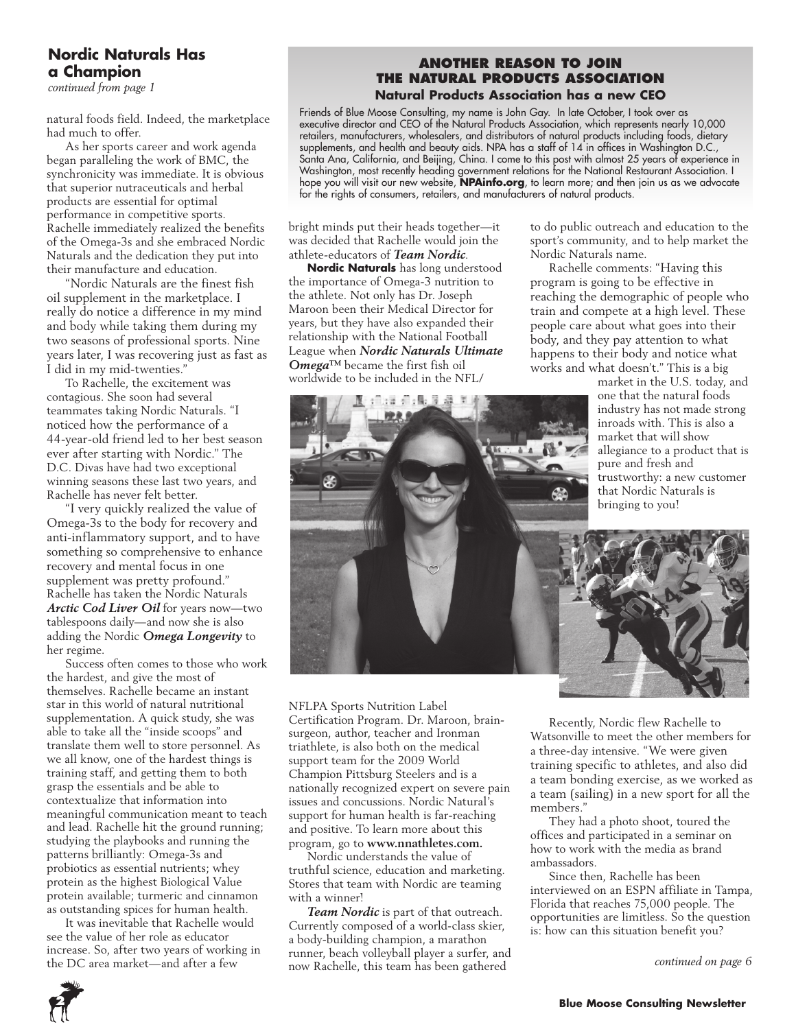# **Nordic Naturals Has a Champion**

*continued from page 1*

natural foods field. Indeed, the marketplace had much to offer.

As her sports career and work agenda began paralleling the work of BMC, the synchronicity was immediate. It is obvious that superior nutraceuticals and herbal products are essential for optimal performance in competitive sports. Rachelle immediately realized the benefits of the Omega-3s and she embraced Nordic Naturals and the dedication they put into their manufacture and education.

"Nordic Naturals are the finest fish oil supplement in the marketplace. I really do notice a difference in my mind and body while taking them during my two seasons of professional sports. Nine years later, I was recovering just as fast as I did in my mid-twenties."

To Rachelle, the excitement was contagious. She soon had several teammates taking Nordic Naturals. "I noticed how the performance of a 44-year-old friend led to her best season ever after starting with Nordic." The D.C. Divas have had two exceptional winning seasons these last two years, and Rachelle has never felt better.

"I very quickly realized the value of Omega-3s to the body for recovery and anti-inflammatory support, and to have something so comprehensive to enhance recovery and mental focus in one supplement was pretty profound." Rachelle has taken the Nordic Naturals *Arctic Cod Liver Oil* for years now—two tablespoons daily—and now she is also adding the Nordic *Omega Longevity* to her regime.

Success often comes to those who work the hardest, and give the most of themselves. Rachelle became an instant star in this world of natural nutritional supplementation. A quick study, she was able to take all the "inside scoops" and translate them well to store personnel. As we all know, one of the hardest things is training staff, and getting them to both grasp the essentials and be able to contextualize that information into meaningful communication meant to teach and lead. Rachelle hit the ground running; studying the playbooks and running the patterns brilliantly: Omega-3s and probiotics as essential nutrients; whey protein as the highest Biological Value protein available; turmeric and cinnamon as outstanding spices for human health.

It was inevitable that Rachelle would see the value of her role as educator increase. So, after two years of working in the DC area market—and after a few

#### **Another Reason to Join the Natural Products Association Natural Products Association has a new CEO**

Friends of Blue Moose Consulting, my name is John Gay. In late October, I took over as executive director and CEO of the Natural Products Association, which represents nearly 10,000 retailers, manufacturers, wholesalers, and distributors of natural products including foods, dietary supplements, and health and beauty aids. NPA has a staff of 14 in offices in Washington D.C., Santa Ana, California, and Beijing, China. I come to this post with almost 25 years of experience in Washington, most recently heading government relations for the National Restaurant Association. I hope you will visit our new website, **NPAinfo.org**, to learn more; and then join us as we advocate for the rights of consumers, retailers, and manufacturers of natural products.

bright minds put their heads together—it was decided that Rachelle would join the athlete-educators of *Team Nordic*.

**Nordic Naturals** has long understood the importance of Omega-3 nutrition to the athlete. Not only has Dr. Joseph Maroon been their Medical Director for years, but they have also expanded their relationship with the National Football League when *Nordic Naturals Ultimate Omega™* became the first fish oil worldwide to be included in the NFL/

A tilta siste li

to do public outreach and education to the sport's community, and to help market the Nordic Naturals name.

Rachelle comments: "Having this program is going to be effective in reaching the demographic of people who train and compete at a high level. These people care about what goes into their body, and they pay attention to what happens to their body and notice what works and what doesn't." This is a big

market in the U.S. today, and one that the natural foods industry has not made strong inroads with. This is also a allegiance to a product that is trustworthy: a new customer that Nordic Naturals is bringing to you!



NFLPA Sports Nutrition Label Certification Program. Dr. Maroon, brainsurgeon, author, teacher and Ironman triathlete, is also both on the medical support team for the 2009 World Champion Pittsburg Steelers and is a nationally recognized expert on severe pain issues and concussions. Nordic Natural's support for human health is far-reaching and positive. To learn more about this program, go to **www.nnathletes.com.**

Nordic understands the value of truthful science, education and marketing. Stores that team with Nordic are teaming with a winner!

*Team Nordic* is part of that outreach. Currently composed of a world-class skier, a body-building champion, a marathon runner, beach volleyball player a surfer, and now Rachelle, this team has been gathered

Recently, Nordic flew Rachelle to Watsonville to meet the other members for a three-day intensive. "We were given training specific to athletes, and also did a team bonding exercise, as we worked as a team (sailing) in a new sport for all the members."

They had a photo shoot, toured the offices and participated in a seminar on how to work with the media as brand ambassadors.

Since then, Rachelle has been interviewed on an ESPN affiliate in Tampa, Florida that reaches 75,000 people. The opportunities are limitless. So the question is: how can this situation benefit you?

*continued on page 6*

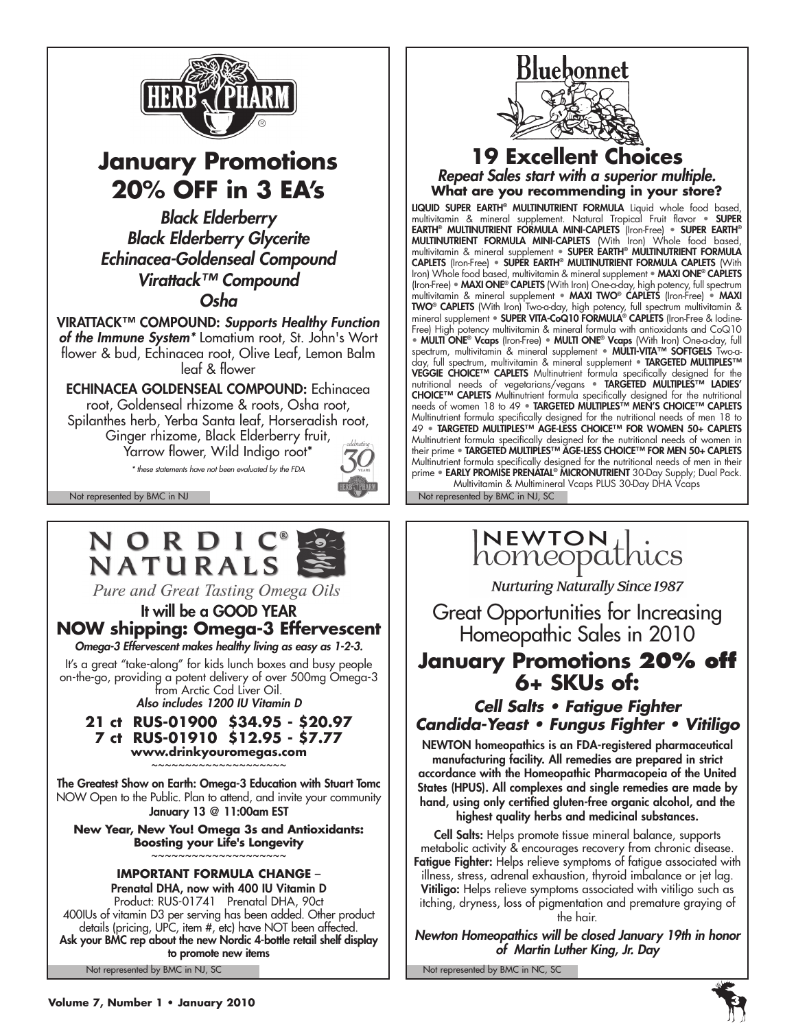

# **January Promotions 20% Off in 3 EA's**

*Black Elderberry Black Elderberry Glycerite Echinacea-Goldenseal Compound Virattack™ Compound Osha*

VIRATTACK™ COMPOUND: *Supports Healthy Function of the Immune System\** Lomatium root, St. John's Wort flower & bud, Echinacea root, Olive Leaf, Lemon Balm leaf & flower

ECHINACEA GOLDENSEAL COMPOUND: Echinacea root, Goldenseal rhizome & roots, Osha root, Spilanthes herb, Yerba Santa leaf, Horseradish root, Ginger rhizome, Black Elderberry fruit, Yarrow flower, Wild Indigo root\*

*\* these statements have not been evaluated by the FDA*



# NORDIC<sup>®</sup> **NATURALS**

Pure and Great Tasting Omega Oils

# It will be a GOOD YEAR **NOW shipping: Omega-3 Effervescent**

*Omega-3 Effervescent makes healthy living as easy as 1-2-3.*

It's a great "take-along" for kids lunch boxes and busy people on-the-go, providing a potent delivery of over 500mg Omega-3 from Arctic Cod Liver Oil.

*Also includes 1200 IU Vitamin D*

**21 ct RUS-01900 \$34.95 - \$20.97 7 ct RUS-01910 \$12.95 - \$7.77**

**www.drinkyouromegas.com** ~~~~~~~~~~~~~~~~~~

The Greatest Show on Earth: Omega-3 Education with Stuart Tomc NOW Open to the Public. Plan to attend, and invite your community January 13 @ 11:00am EST

**New Year, New You! Omega 3s and Antioxidants: Boosting your Life's Longevity** ~~~~~~~~~~~~~~~~~~~~

### **IMPORTANT FORMULA CHANGE** –

Not represented by BMC in NJ, SC Not represented by BMC in NC, SC Prenatal DHA, now with 400 IU Vitamin D Product: RUS-01741 Prenatal DHA, 90ct 400IUs of vitamin D3 per serving has been added. Other product details (pricing, UPC, item #, etc) have NOT been affected. Ask your BMC rep about the new Nordic 4-bottle retail shelf display to promote new items



### **19 Excellent Choices** *Repeat Sales start with a superior multiple.* **What are you recommending in your store?**

LIQUID SUPER EARTH® MULTINUTRIENT FORMULA Liquid whole food based, multivitamin & mineral supplement. Natural Tropical Fruit flavor • SUPER EARTH® MULTINUTRIENT FORMULA MINI-CAPLETS (Iron-Free) • SUPER EARTH® MULTINUTRIENT FORMULA MINI-CAPLETS (With Iron) Whole food based, multivitamin & mineral supplement • SUPER EARTH® MULTINUTRIENT FORMULA CAPLETS (Iron-Free) • SUPER EARTH® MULTINUTRIENT FORMULA CAPLETS (With Iron) Whole food based, multivitamin & mineral supplement • MAXI ONE<sup>®</sup> CAPLETS (Iron-Free) • MAXI ONE® CAPLETS (With Iron) One-a-day, high potency, full spectrum multivitamin & mineral supplement • MAXI TWO® CAPLETS (Iron-Free) • MAXI TWO® CAPLETS (With Iron) Two-a-day, high potency, full spectrum multivitamin & mineral supplement • SUPER VITA-CoQ10 FORMULA® CAPLETS (Iron-Free & Iodine-Free) High potency multivitamin & mineral formula with antioxidants and CoQ10 • **MULTI ONE<sup>®</sup> Vcaps** (Iron-Free) • **MULTI ONE® Vcaps** (With Iron) One-a-day, full spectrum, multivitamin & mineral supplement • MULTI-VITA™ SOFTGELS Two-aday, full spectrum, multivitamin & mineral supplement • TARGETED MULTIPLES™ **VEGGIE CHOICE™ CAPLETS** Multinutrient formula specifically designed for the nutritional needs of vegetarians/vegans • TARGETED MULTIPLES™ LADIES' CHOICE™ CAPLETS Multinutrient formula specifically designed for the nutritional needs of women 18 to 49 · TARGETED MULTIPLES™ MEN'S CHOICE™ CAPLETS Multinutrient formula specifically designed for the nutritional needs of men 18 to 49 • TARGETED MULTIPLES™ AGE-LESS CHOICE™ FOR WOMEN 50+ CAPLETS Multinutrient formula specifically designed for the nutritional needs of women in their prime ● **TARGETED MULTIPLES™ AGE-LESS CHOICE™ FOR MEN 50+ CAPLETS** Multinutrient formula specifically designed for the nutritional needs of men in their prime • **EARLY PROMISE PRENATAL<sup>®</sup> MICRONUTRIENT** 30-Day Supply; Dual Pack. Multivitamin & Multimineral Vcaps PLUS 30-Day DHA Vcaps

Not represented by BMC in NJ Not represented by BMC in NJ, SC

# INEWTON | .<br>homeopathics

**Nurturing Naturally Since 1987** 

Great Opportunities for Increasing Homeopathic Sales in 2010

# **January Promotions 20% off 6+ SKUs of:**

*Cell Salts • Fatigue Fighter Candida-Yeast • Fungus Fighter • Vitiligo*

NEWTON homeopathics is an FDA-registered pharmaceutical manufacturing facility. All remedies are prepared in strict accordance with the Homeopathic Pharmacopeia of the United States (HPUS). All complexes and single remedies are made by hand, using only certified gluten-free organic alcohol, and the highest quality herbs and medicinal substances.

Cell Salts: Helps promote tissue mineral balance, supports metabolic activity & encourages recovery from chronic disease. Fatigue Fighter: Helps relieve symptoms of fatigue associated with illness, stress, adrenal exhaustion, thyroid imbalance or jet lag. Vitiligo: Helps relieve symptoms associated with vitiligo such as itching, dryness, loss of pigmentation and premature graying of the hair.

*Newton Homeopathics will be closed January 19th in honor of Martin Luther King, Jr. Day*

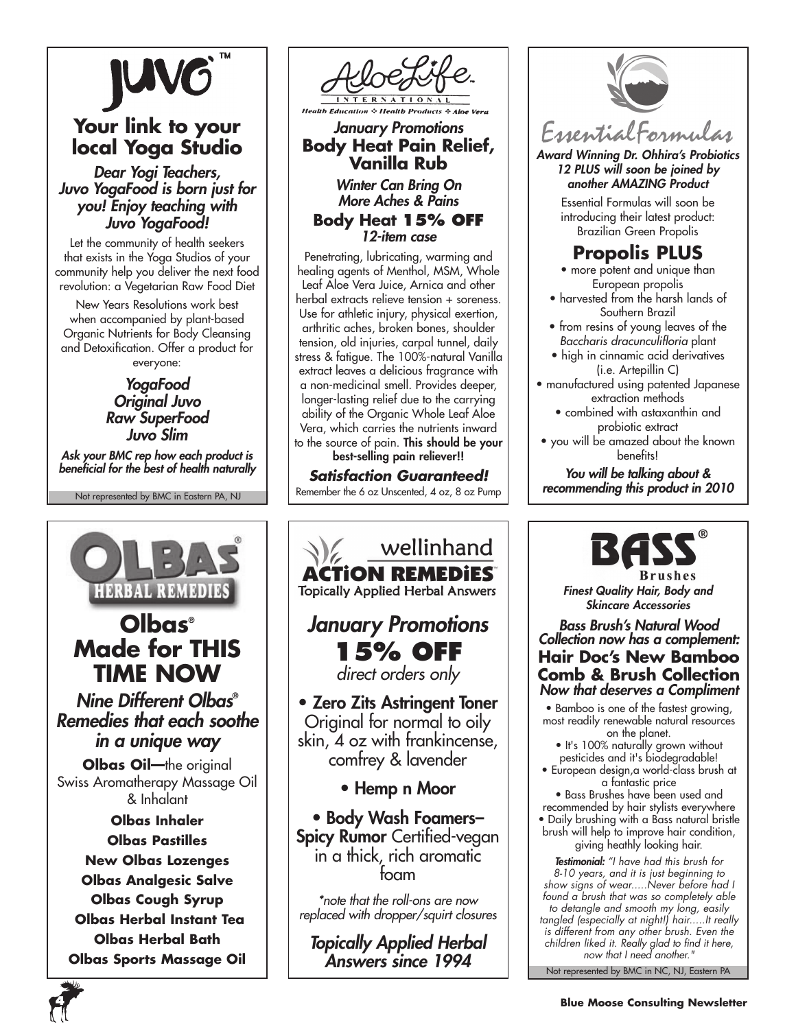

# **Your link to your local Yoga Studio**

*Dear Yogi Teachers, Juvo YogaFood is born just for you! Enjoy teaching with Juvo YogaFood!*

Let the community of health seekers that exists in the Yoga Studios of your community help you deliver the next food revolution: a Vegetarian Raw Food Diet

New Years Resolutions work best when accompanied by plant-based Organic Nutrients for Body Cleansing and Detoxification. Offer a product for everyone:

### *YogaFood Original Juvo Raw SuperFood Juvo Slim*

*Ask your BMC rep how each product is beneficial for the best of health naturally* 

Not represented by BMC in Eastern PA, NJ





# *January Promotions* **Body Heat Pain Relief, Vanilla Rub**

*Winter Can Bring On More Aches & Pains*

**Body Heat 15% off** *12-item case*

Penetrating, lubricating, warming and healing agents of Menthol, MSM, Whole Leaf Aloe Vera Juice, Arnica and other herbal extracts relieve tension + soreness. Use for athletic injury, physical exertion, arthritic aches, broken bones, shoulder tension, old injuries, carpal tunnel, daily stress & fatigue. The 100%-natural Vanilla extract leaves a delicious fragrance with a non-medicinal smell. Provides deeper, longer-lasting relief due to the carrying ability of the Organic Whole Leaf Aloe Vera, which carries the nutrients inward to the source of pain. This should be your

best-selling pain reliever!!

*Satisfaction Guaranteed!* Remember the 6 oz Unscented, 4 oz, 8 oz Pump





*Award Winning Dr. Ohhira's Probiotics 12 PLUS will soon be joined by another AMAZING Product*

> Essential Formulas will soon be introducing their latest product: Brazilian Green Propolis

# **Propolis PLUS**

- more potent and unique than European propolis
- harvested from the harsh lands of Southern Brazil
- from resins of young leaves of the *Baccharis dracunculifloria* plant
- high in cinnamic acid derivatives (i.e. Artepillin C)
- manufactured using patented Japanese extraction methods
	- combined with astaxanthin and probiotic extract
- you will be amazed about the known benefits!

*You will be talking about & recommending this product in 2010*



*Finest Quality Hair, Body and Skincare Accessories*

### *Bass Brush's Natural Wood Collection now has a complement:* **Hair Doc's New Bamboo Comb & Brush Collection** *Now that deserves a Compliment*

• Bamboo is one of the fastest growing, most readily renewable natural resources on the planet.

• It's 100% naturally grown without pesticides and it's biodegradable! • European design,a world-class brush at

a fantastic price

• Bass Brushes have been used and recommended by hair stylists everywhere • Daily brushing with a Bass natural bristle brush will help to improve hair condition, giving heathly looking hair.

Not represented by BMC in NC, NJ, Eastern PA *Testimonial: "I have had this brush for 8-10 years, and it is just beginning to show signs of wear.....Never before had I found a brush that was so completely able to detangle and smooth my long, easily tangled (especially at night!) hair.....It really is different from any other brush. Even the children liked it. Really glad to find it here, now that I need another."*

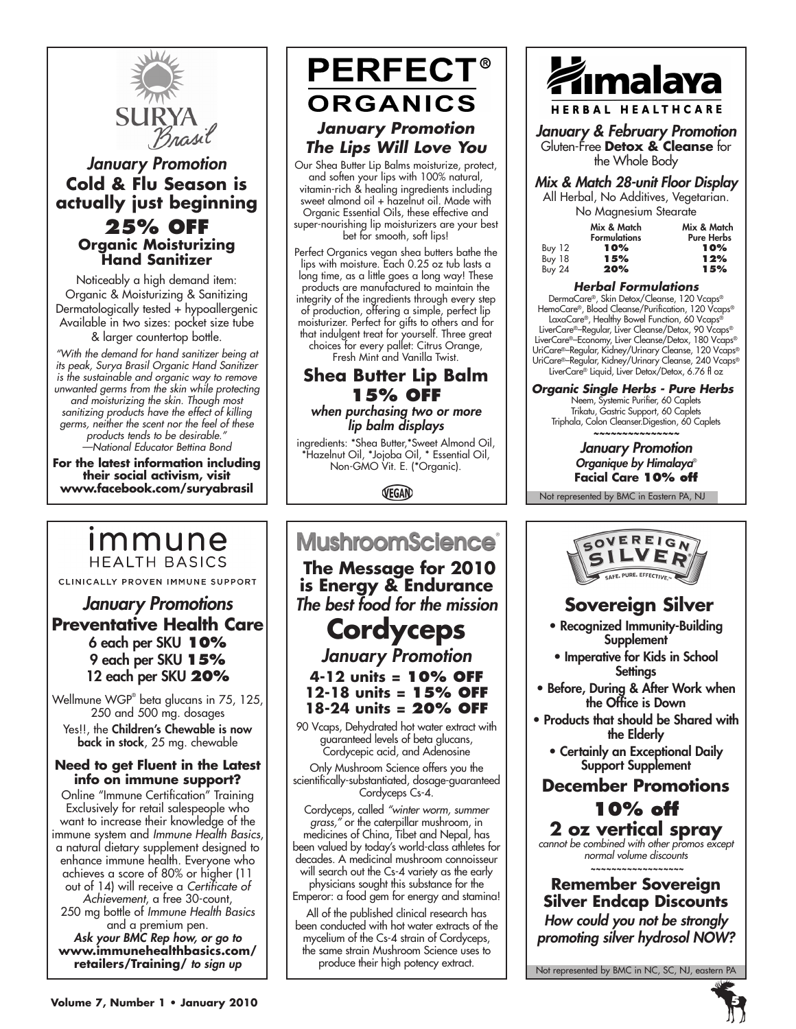

# *January Promotion* **Cold & Flu Season is actually just beginning 25% off Organic Moisturizing Hand Sanitizer**

Noticeably a high demand item: Organic & Moisturizing & Sanitizing Dermatologically tested + hypoallergenic Available in two sizes: pocket size tube & larger countertop bottle.

*"With the demand for hand sanitizer being at its peak, Surya Brasil Organic Hand Sanitizer is the sustainable and organic way to remove unwanted germs from the skin while protecting and moisturizing the skin. Though most sanitizing products have the effect of killing germs, neither the scent nor the feel of these products tends to be desirable." —National Educator Bettina Bond*

**For the latest information including their social activism, visit www.facebook.com/suryabrasil**

# immune **HEALTH BASICS**

CLINICALLY PROVEN IMMUNE SUPPORT

*January Promotions* **Preventative Health Care** 6 each per SKU **10%** 9 each per SKU **15%** 12 each per SKU **20%**

Wellmune WGP® beta glucans in 75, 125, 250 and 500 mg. dosages Yes!!, the Children's Chewable is now back in stock, 25 mg. chewable

#### **Need to get Fluent in the Latest info on immune support?**

Online "Immune Certification" Training Exclusively for retail salespeople who want to increase their knowledge of the immune system and *Immune Health Basics*, a natural dietary supplement designed to enhance immune health. Everyone who achieves a score of 80% or higher (11 out of 14) will receive a *Certificate of Achievement*, a free 30-count, 250 mg bottle of *Immune Health Basics* and a premium pen. *Ask your BMC Rep how, or go to* **www.immunehealthbasics.com/**

# **PERFECT® ORGANICS** *January Promotion The Lips Will Love You*

Our Shea Butter Lip Balms moisturize, protect, and soften your lips with 100% natural, vitamin-rich & healing ingredients including sweet almond oil + hazelnut oil. Made with Organic Essential Oils, these effective and super-nourishing lip moisturizers are your best bet for smooth, soft lips!

Perfect Organics vegan shea butters bathe the lips with moisture. Each 0.25 oz tub lasts a long time, as a little goes a long way! These products are manufactured to maintain the integrity of the ingredients through every step of production, offering a simple, perfect lip moisturizer. Perfect for gifts to others and for that indulgent treat for yourself. Three great choices for every pallet: Citrus Orange, Fresh Mint and Vanilla Twist.

# **Shea Butter Lip Balm 15% off** *when purchasing two or more*

*lip balm displays*

ingredients: \*Shea Butter,\*Sweet Almond Oil, \*Hazelnut Oil, \*Jojoba Oil, \* Essential Oil, Non-GMO Vit. E. (\*Organic).

VEGAN

# **MushroomScience®**

 **The Message for 2010 is Energy & Endurance** *The best food for the mission*

# **Cordyceps**

*January Promotion* **4-12 units = 10% off 12-18 units = 15% off**

**18-24 units = 20% off**

90 Vcaps, Dehydrated hot water extract with guaranteed levels of beta glucans, Cordycepic acid, and Adenosine

Only Mushroom Science offers you the scientifically-substantiated, dosage-guaranteed Cordyceps Cs-4.

Cordyceps, called *"winter worm, summer grass,"* or the caterpillar mushroom, in medicines of China, Tibet and Nepal, has been valued by today's world-class athletes for decades. A medicinal mushroom connoisseur will search out the Cs-4 variety as the early

physicians sought this substance for the Emperor: a food gem for energy and stamina!

All of the published clinical research has been conducted with hot water extracts of the mycelium of the Cs-4 strain of Cordyceps, the same strain Mushroom Science uses to produce their high potency extract.



*January & February Promotion* Gluten-Free **Detox & Cleanse** for the Whole Body

# *Mix & Match 28-unit Floor Display*

All Herbal, No Additives, Vegetarian. No Magnesium Stearate

| <b>The Magnesian Sicarale</b> |                     |                   |
|-------------------------------|---------------------|-------------------|
|                               | Mix & Match         | Mix & Match       |
|                               | <b>Formulations</b> | <b>Pure Herbs</b> |
| Buy 12                        | 10%                 | 10%               |
| <b>Buy 18</b>                 | 15%                 | 12%               |
| <b>Buy 24</b>                 | 20%                 | 15%               |
|                               |                     |                   |

#### *Herbal Formulations*

DermaCare®, Skin Detox/Cleanse, 120 Vcaps® HemoCare®, Blood Cleanse/Purification, 120 Vcaps® LaxaCare®, Healthy Bowel Function, 60 Vcaps® LiverCare®–Regular, Liver Cleanse/Detox, 90 Vcaps® LiverCare®–Economy, Liver Cleanse/Detox, 180 Vcaps® UriCare®–Regular, Kidney/Urinary Cleanse, 120 Vcaps® UriCare®–Regular, Kidney/Urinary Cleanse, 240 Vcaps® LiverCare® Liquid, Liver Detox/Detox, 6.76 fl oz

*Organic Single Herbs - Pure Herbs* Neem, Systemic Purifier, 60 Caplets Trikatu, Gastric Support, 60 Caplets Triphala, Colon Cleanser.Digestion, 60 Caplets *~~~~~~~~~~~~~~~*

*January Promotion Organique by Himalaya*® **Facial Care 10% off**

Not represented by BMC in Eastern PA, NJ



# **Sovereign Silver**

- Recognized Immunity-Building **Supplement**
- Imperative for Kids in School **Settings**
- Before, During & After Work when the Office is Down
- Products that should be Shared with the Elderly
	- Certainly an Exceptional Daily Support Supplement

# **December Promotions 10% off**

**2 oz vertical spray** *cannot be combined with other promos except normal volume discounts*

 **~~~~~~~~~~~~~~~~~~**

**Remember Sovereign Silver Endcap Discounts**

*How could you not be strongly promoting silver hydrosol NOW?*

Not represented by BMC in NC, SC, NJ, eastern PA

**retailers/Training/** *to sign up*

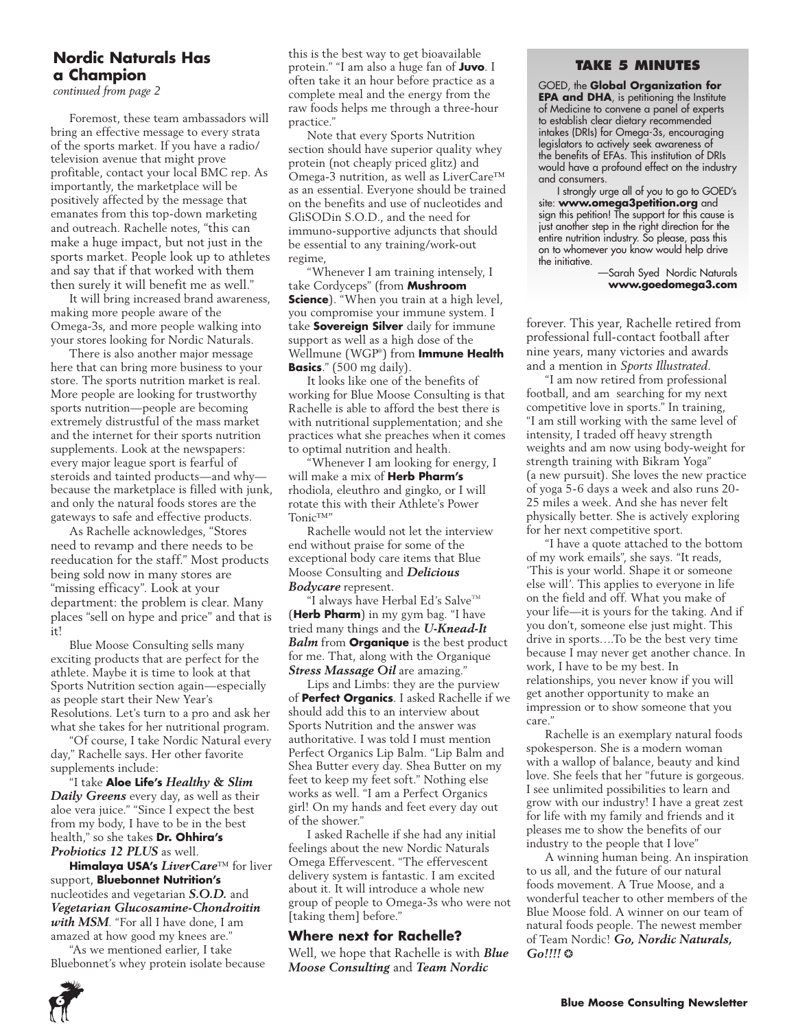### **Nordic Naturals Has a Champion**

*continued from page 2*

Foremost, these team ambassadors will bring an effective message to every strata of the sports market. If you have a radio/ television avenue that might prove profitable, contact your local BMC rep. As importantly, the marketplace will be positively affected by the message that emanates from this top-down marketing and outreach. Rachelle notes, "this can make a huge impact, but not just in the sports market. People look up to athletes and say that if that worked with them then surely it will benefit me as well."

It will bring increased brand awareness, making more people aware of the Omega-3s, and more people walking into your stores looking for Nordic Naturals.

There is also another major message here that can bring more business to your store. The sports nutrition market is real. More people are looking for trustworthy sports nutrition—people are becoming extremely distrustful of the mass market and the internet for their sports nutrition supplements. Look at the newspapers: every major league sport is fearful of steroids and tainted products—and why because the marketplace is filled with junk, and only the natural foods stores are the gateways to safe and effective products.

As Rachelle acknowledges, "Stores need to revamp and there needs to be reeducation for the staff." Most products being sold now in many stores are "missing efficacy". Look at your department: the problem is clear. Many places "sell on hype and price" and that is it!

Blue Moose Consulting sells many exciting products that are perfect for the athlete. Maybe it is time to look at that Sports Nutrition section again—especially as people start their New Year's Resolutions. Let's turn to a pro and ask her what she takes for her nutritional program.

"Of course, I take Nordic Natural every day," Rachelle says. Her other favorite supplements include:

"I take **Aloe Life's** *Healthy & Slim Daily Greens* every day, as well as their aloe vera juice." "Since I expect the best from my body, I have to be in the best health," so she takes **Dr. Ohhira's**  *Probiotics 12 PLUS* as well.

**Himalaya USA's** *LiverCare*™ for liver support, **Bluebonnet Nutrition's**  nucleotides and vegetarian *S.O.D.* and *Vegetarian Glucosamine-Chondroitin with MSM*. "For all I have done, I am amazed at how good my knees are."

"As we mentioned earlier, I take Bluebonnet's whey protein isolate because

this is the best way to get bioavailable protein." "I am also a huge fan of **Juvo**. I often take it an hour before practice as a complete meal and the energy from the raw foods helps me through a three-hour practice."

Note that every Sports Nutrition section should have superior quality whey protein (not cheaply priced glitz) and Omega-3 nutrition, as well as LiverCare™ as an essential. Everyone should be trained on the benefits and use of nucleotides and GliSODin S.O.D., and the need for immuno-supportive adjuncts that should be essential to any training/work-out regime,

"Whenever I am training intensely, I take Cordyceps" (from **Mushroom Science**). "When you train at a high level, you compromise your immune system. I take **Sovereign Silver** daily for immune support as well as a high dose of the Wellmune (WGP® ) from **Immune Health Basics**." (500 mg daily).

It looks like one of the benefits of working for Blue Moose Consulting is that Rachelle is able to afford the best there is with nutritional supplementation; and she practices what she preaches when it comes to optimal nutrition and health.

"Whenever I am looking for energy, I will make a mix of **Herb Pharm's**  rhodiola, eleuthro and gingko, or I will rotate this with their Athlete's Power Tonic™"

Rachelle would not let the interview end without praise for some of the exceptional body care items that Blue Moose Consulting and *Delicious Bodycare* represent.

"I always have Herbal Ed's Salve $T^M$ (**Herb Pharm**) in my gym bag. "I have tried many things and the *U-Knead-It Balm* from **Organique** is the best product for me. That, along with the Organique *Stress Massage Oil* are amazing."

Lips and Limbs: they are the purview of **Perfect Organics**. I asked Rachelle if we should add this to an interview about Sports Nutrition and the answer was authoritative. I was told I must mention Perfect Organics Lip Balm. "Lip Balm and Shea Butter every day. Shea Butter on my feet to keep my feet soft." Nothing else works as well. "I am a Perfect Organics girl! On my hands and feet every day out of the shower."

I asked Rachelle if she had any initial feelings about the new Nordic Naturals Omega Effervescent. "The effervescent delivery system is fantastic. I am excited about it. It will introduce a whole new group of people to Omega-3s who were not [taking them] before."

#### **Where next for Rachelle?**

Well, we hope that Rachelle is with *Blue Moose Consulting* and *Team Nordic* 

#### **Take 5 Minutes**

GOED, the **Global Organization for EPA and DHA**, is petitioning the Institute of Medicine to convene a panel of experts to establish clear dietary recommended intakes (DRIs) for Omega-3s, encouraging legislators to actively seek awareness of the benefits of EFAs. This institution of DRIs would have a profound effect on the industry and consumers.

I strongly urge all of you to go to GOED's site: **www.omega3petition.org** and sign this petition! The support for this cause is just another step in the right direction for the entire nutrition industry. So please, pass this on to whomever you know would help drive the initiative.

 —Sarah Syed Nordic Naturals **www.goedomega3.com**

forever. This year, Rachelle retired from professional full-contact football after nine years, many victories and awards and a mention in *Sports Illustrated.*

"I am now retired from professional football, and am searching for my next competitive love in sports." In training, "I am still working with the same level of intensity, I traded off heavy strength weights and am now using body-weight for strength training with Bikram Yoga" (a new pursuit). She loves the new practice of yoga 5-6 days a week and also runs 20- 25 miles a week. And she has never felt physically better. She is actively exploring for her next competitive sport.

"I have a quote attached to the bottom of my work emails", she says. "It reads, 'This is your world. Shape it or someone else will'. This applies to everyone in life on the field and off. What you make of your life—it is yours for the taking. And if you don't, someone else just might. This drive in sports….To be the best very time because I may never get another chance. In work, I have to be my best. In relationships, you never know if you will get another opportunity to make an impression or to show someone that you care."

Rachelle is an exemplary natural foods spokesperson. She is a modern woman with a wallop of balance, beauty and kind love. She feels that her "future is gorgeous. I see unlimited possibilities to learn and grow with our industry! I have a great zest for life with my family and friends and it pleases me to show the benefits of our industry to the people that I love"

A winning human being. An inspiration to us all, and the future of our natural foods movement. A True Moose, and a wonderful teacher to other members of the Blue Moose fold. A winner on our team of natural foods people. The newest member of Team Nordic! *Go, Nordic Naturals, Go!!!!* ❂



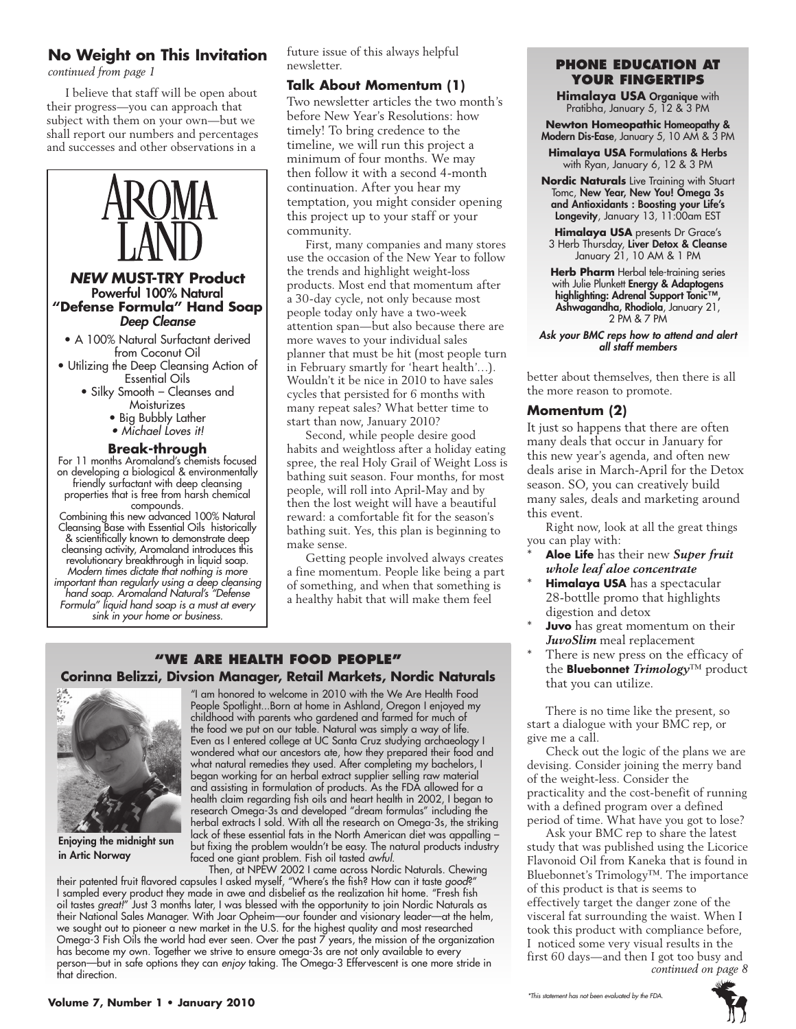### **No Weight on This Invitation**

*continued from page 1*

I believe that staff will be open about their progress—you can approach that subject with them on your own—but we shall report our numbers and percentages and successes and other observations in a



Cleansing Base with Essential Oils historically & scientifically known to demonstrate deep cleansing activity, Aromaland introduces this revolutionary breakthrough in liquid soap. *Modern times dictate that nothing is more important than regularly using a deep cleansing hand soap. Aromaland Natural's "Defense Formula" liquid hand soap is a must at every* 

*sink in your home or business.*

future issue of this always helpful newsletter.

### **Talk About Momentum (1)**

Two newsletter articles the two month's before New Year's Resolutions: how timely! To bring credence to the timeline, we will run this project a minimum of four months. We may then follow it with a second 4-month continuation. After you hear my temptation, you might consider opening this project up to your staff or your community.

First, many companies and many stores use the occasion of the New Year to follow the trends and highlight weight-loss products. Most end that momentum after a 30-day cycle, not only because most people today only have a two-week attention span—but also because there are more waves to your individual sales planner that must be hit (most people turn in February smartly for 'heart health'…). Wouldn't it be nice in 2010 to have sales cycles that persisted for 6 months with many repeat sales? What better time to start than now, January 2010?

Second, while people desire good habits and weightloss after a holiday eating spree, the real Holy Grail of Weight Loss is bathing suit season. Four months, for most people, will roll into April-May and by then the lost weight will have a beautiful reward: a comfortable fit for the season's bathing suit. Yes, this plan is beginning to make sense.

Getting people involved always creates a fine momentum. People like being a part of something, and when that something is a healthy habit that will make them feel

### **"We Are health food people" Corinna Belizzi, Divsion Manager, Retail Markets, Nordic Naturals**



Enjoying the midnight sun in Artic Norway

"I am honored to welcome in 2010 with the We Are Health Food People Spotlight...Born at home in Ashland, Oregon I enjoyed my childhood with parents who gardened and farmed for much of the food we put on our table. Natural was simply a way of life. Even as I entered college at UC Santa Cruz studying archaeology I wondered what our ancestors ate, how they prepared their food and what natural remedies they used. After completing my bachelors, I began working for an herbal extract supplier selling raw material and assisting in formulation of products. As the FDA allowed for a health claim regarding fish oils and heart health in 2002, I began to research Omega-3s and developed "dream formulas" including the herbal extracts I sold. With all the research on Omega-3s, the striking lack of these essential fats in the North American diet was appalling – but fixing the problem wouldn't be easy. The natural products industry faced one giant problem. Fish oil tasted *awful*.

Then, at NPEW 2002 I came across Nordic Naturals. Chewing their patented fruit flavored capsules I asked myself, "Where's the fish? How can it taste *good*?" I sampled every product they made in awe and disbelief as the realization hit home. "Fresh fish oil tastes *great!*" Just 3 months later, I was blessed with the opportunity to join Nordic Naturals as their National Sales Manager. With Joar Opheim—our founder and visionary leader—at the helm, we sought out to pioneer a new market in the U.S. for the highest quality and most researched Omega-3 Fish Oils the world had ever seen. Over the past 7 years, the mission of the organization has become my own. Together we strive to ensure omega-3s are not only available to every person—but in safe options they can *enjoy* taking. The Omega-3 Effervescent is one more stride in that direction.

### **phone education at your fingertips**

**Himalaya USA** Organique with Pratibha, January 5, 12 & 3 PM

**Newton Homeopathic** Homeopathy & Modern Dis-Ease, January 5, 10 AM & 3 PM

**Himalaya USA** Formulations & Herbs with Ryan, January 6, 12 & 3 PM

**Nordic Naturals** Live Training with Stuart Tomc, New Year, New You! Omega 3s and Antioxidants : Boosting your Life's Longevity, January 13, 11:00am EST

**Himalaya USA** presents Dr Grace's 3 Herb Thursday, Liver Detox & Cleanse January 21, 10 AM & 1 PM

**Herb Pharm** Herbal tele-training series with Julie Plunkett Energy & Adaptogens highlighting: Adrenal Support Tonic™, Ashwagandha, Rhodiola, January 21, 2 PM & 7 PM

*Ask your BMC reps how to attend and alert all staff members*

better about themselves, then there is all the more reason to promote.

### **Momentum (2)**

It just so happens that there are often many deals that occur in January for this new year's agenda, and often new deals arise in March-April for the Detox season. SO, you can creatively build many sales, deals and marketing around this event.

Right now, look at all the great things you can play with:

- \* **Aloe Life** has their new *Super fruit whole leaf aloe concentrate*
- **Himalaya USA** has a spectacular 28-bottlle promo that highlights digestion and detox
- **Juvo** has great momentum on their *JuvoSlim* meal replacement
- There is new press on the efficacy of the **Bluebonnet** *Trimology*™ product that you can utilize.

There is no time like the present, so start a dialogue with your BMC rep, or give me a call.

Check out the logic of the plans we are devising. Consider joining the merry band of the weight-less. Consider the practicality and the cost-benefit of running with a defined program over a defined period of time. What have you got to lose?

Ask your BMC rep to share the latest study that was published using the Licorice Flavonoid Oil from Kaneka that is found in Bluebonnet's Trimology™. The importance of this product is that is seems to effectively target the danger zone of the visceral fat surrounding the waist. When I took this product with compliance before, I noticed some very visual results in the first 60 days—and then I got too busy and *continued on page 8*